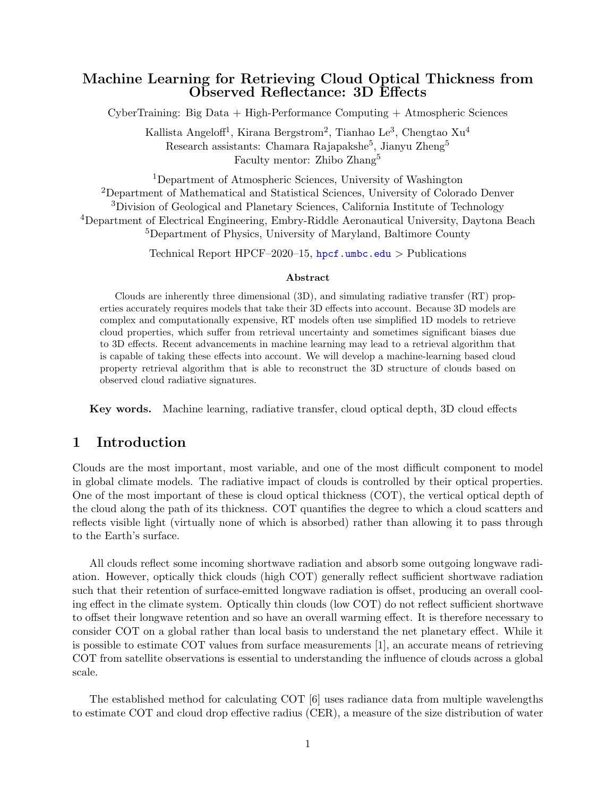# Machine Learning for Retrieving Cloud Optical Thickness from Observed Reflectance: 3D Effects

CyberTraining: Big Data + High-Performance Computing + Atmospheric Sciences

Kallista Angeloff<sup>1</sup>, Kirana Bergstrom<sup>2</sup>, Tianhao Le<sup>3</sup>, Chengtao Xu<sup>4</sup> Research assistants: Chamara Rajapakshe<sup>5</sup>, Jianyu Zheng<sup>5</sup> Faculty mentor: Zhibo Zhang<sup>5</sup>

Department of Atmospheric Sciences, University of Washington Department of Mathematical and Statistical Sciences, University of Colorado Denver Division of Geological and Planetary Sciences, California Institute of Technology Department of Electrical Engineering, Embry-Riddle Aeronautical University, Daytona Beach Department of Physics, University of Maryland, Baltimore County

Technical Report HPCF–2020–15,  $h$ pcf.umbc.edu > Publications

#### Abstract

Clouds are inherently three dimensional (3D), and simulating radiative transfer (RT) properties accurately requires models that take their 3D effects into account. Because 3D models are complex and computationally expensive, RT models often use simplified 1D models to retrieve cloud properties, which suffer from retrieval uncertainty and sometimes significant biases due to 3D effects. Recent advancements in machine learning may lead to a retrieval algorithm that is capable of taking these effects into account. We will develop a machine-learning based cloud property retrieval algorithm that is able to reconstruct the 3D structure of clouds based on observed cloud radiative signatures.

Key words. Machine learning, radiative transfer, cloud optical depth, 3D cloud effects

## 1 Introduction

Clouds are the most important, most variable, and one of the most difficult component to model in global climate models. The radiative impact of clouds is controlled by their optical properties. One of the most important of these is cloud optical thickness (COT), the vertical optical depth of the cloud along the path of its thickness. COT quantifies the degree to which a cloud scatters and reflects visible light (virtually none of which is absorbed) rather than allowing it to pass through to the Earth's surface.

All clouds reflect some incoming shortwave radiation and absorb some outgoing longwave radiation. However, optically thick clouds (high COT) generally reflect sufficient shortwave radiation such that their retention of surface-emitted longwave radiation is offset, producing an overall cooling effect in the climate system. Optically thin clouds (low COT) do not reflect sufficient shortwave to offset their longwave retention and so have an overall warming effect. It is therefore necessary to consider COT on a global rather than local basis to understand the net planetary effect. While it is possible to estimate COT values from surface measurements [\[1\]](#page-9-0), an accurate means of retrieving COT from satellite observations is essential to understanding the influence of clouds across a global scale.

The established method for calculating COT [\[6\]](#page-10-0) uses radiance data from multiple wavelengths to estimate COT and cloud drop effective radius (CER), a measure of the size distribution of water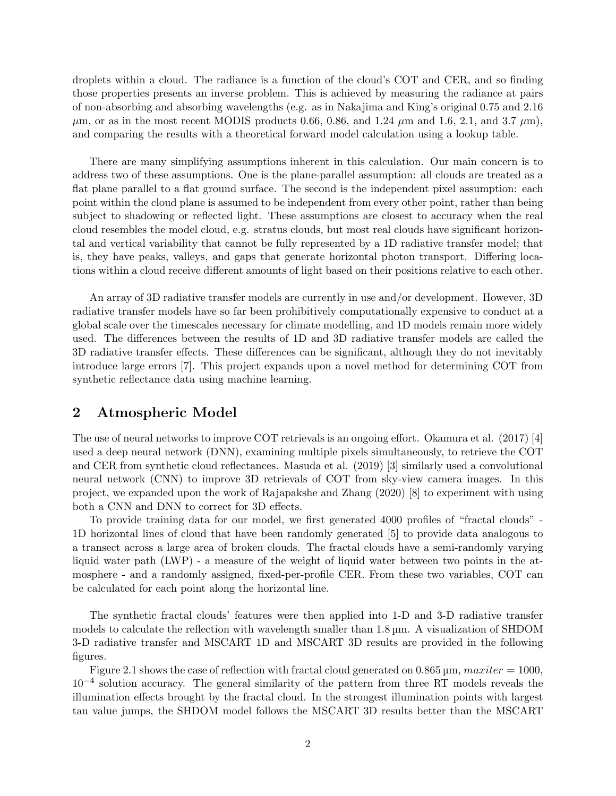droplets within a cloud. The radiance is a function of the cloud's COT and CER, and so finding those properties presents an inverse problem. This is achieved by measuring the radiance at pairs of non-absorbing and absorbing wavelengths (e.g. as in Nakajima and King's original 0.75 and 2.16  $\mu$ m, or as in the most recent MODIS products 0.66, 0.86, and 1.24  $\mu$ m and 1.6, 2.1, and 3.7  $\mu$ m), and comparing the results with a theoretical forward model calculation using a lookup table.

There are many simplifying assumptions inherent in this calculation. Our main concern is to address two of these assumptions. One is the plane-parallel assumption: all clouds are treated as a flat plane parallel to a flat ground surface. The second is the independent pixel assumption: each point within the cloud plane is assumed to be independent from every other point, rather than being subject to shadowing or reflected light. These assumptions are closest to accuracy when the real cloud resembles the model cloud, e.g. stratus clouds, but most real clouds have significant horizontal and vertical variability that cannot be fully represented by a 1D radiative transfer model; that is, they have peaks, valleys, and gaps that generate horizontal photon transport. Differing locations within a cloud receive different amounts of light based on their positions relative to each other.

An array of 3D radiative transfer models are currently in use and/or development. However, 3D radiative transfer models have so far been prohibitively computationally expensive to conduct at a global scale over the timescales necessary for climate modelling, and 1D models remain more widely used. The differences between the results of 1D and 3D radiative transfer models are called the 3D radiative transfer effects. These differences can be significant, although they do not inevitably introduce large errors [\[7\]](#page-10-1). This project expands upon a novel method for determining COT from synthetic reflectance data using machine learning.

# <span id="page-1-0"></span>2 Atmospheric Model

The use of neural networks to improve COT retrievals is an ongoing effort. Okamura et al. (2017) [\[4\]](#page-10-2) used a deep neural network (DNN), examining multiple pixels simultaneously, to retrieve the COT and CER from synthetic cloud reflectances. Masuda et al. (2019) [\[3\]](#page-9-1) similarly used a convolutional neural network (CNN) to improve 3D retrievals of COT from sky-view camera images. In this project, we expanded upon the work of Rajapakshe and Zhang (2020) [\[8\]](#page-10-3) to experiment with using both a CNN and DNN to correct for 3D effects.

To provide training data for our model, we first generated 4000 profiles of "fractal clouds" - 1D horizontal lines of cloud that have been randomly generated [\[5\]](#page-10-4) to provide data analogous to a transect across a large area of broken clouds. The fractal clouds have a semi-randomly varying liquid water path (LWP) - a measure of the weight of liquid water between two points in the atmosphere - and a randomly assigned, fixed-per-profile CER. From these two variables, COT can be calculated for each point along the horizontal line.

The synthetic fractal clouds' features were then applied into 1-D and 3-D radiative transfer models to calculate the reflection with wavelength smaller than 1.8 µm. A visualization of SHDOM 3-D radiative transfer and MSCART 1D and MSCART 3D results are provided in the following figures.

Figure [2.1](#page-2-0) shows the case of reflection with fractal cloud generated on 0.865  $\mu$ m,  $maxiter = 1000$ , 10−<sup>4</sup> solution accuracy. The general similarity of the pattern from three RT models reveals the illumination effects brought by the fractal cloud. In the strongest illumination points with largest tau value jumps, the SHDOM model follows the MSCART 3D results better than the MSCART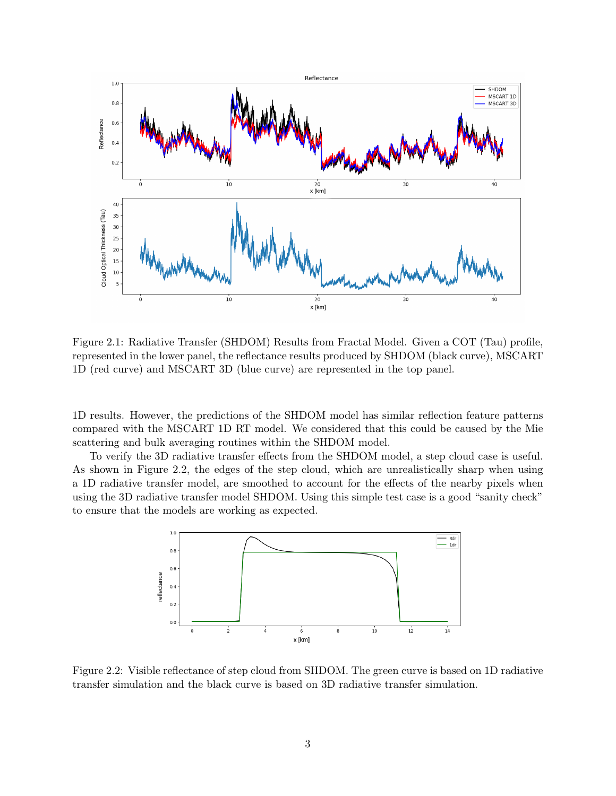

<span id="page-2-0"></span>Figure 2.1: Radiative Transfer (SHDOM) Results from Fractal Model. Given a COT (Tau) profile, represented in the lower panel, the reflectance results produced by SHDOM (black curve), MSCART 1D (red curve) and MSCART 3D (blue curve) are represented in the top panel.

1D results. However, the predictions of the SHDOM model has similar reflection feature patterns compared with the MSCART 1D RT model. We considered that this could be caused by the Mie scattering and bulk averaging routines within the SHDOM model.

To verify the 3D radiative transfer effects from the SHDOM model, a step cloud case is useful. As shown in Figure [2.2,](#page-2-1) the edges of the step cloud, which are unrealistically sharp when using a 1D radiative transfer model, are smoothed to account for the effects of the nearby pixels when using the 3D radiative transfer model SHDOM. Using this simple test case is a good "sanity check" to ensure that the models are working as expected.



<span id="page-2-1"></span>Figure 2.2: Visible reflectance of step cloud from SHDOM. The green curve is based on 1D radiative transfer simulation and the black curve is based on 3D radiative transfer simulation.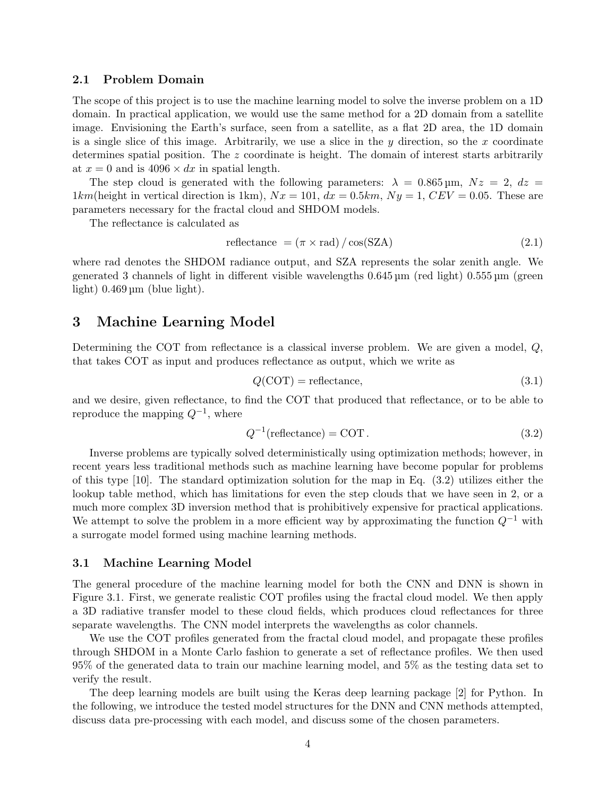#### 2.1 Problem Domain

The scope of this project is to use the machine learning model to solve the inverse problem on a 1D domain. In practical application, we would use the same method for a 2D domain from a satellite image. Envisioning the Earth's surface, seen from a satellite, as a flat 2D area, the 1D domain is a single slice of this image. Arbitrarily, we use a slice in the  $y$  direction, so the  $x$  coordinate determines spatial position. The z coordinate is height. The domain of interest starts arbitrarily at  $x = 0$  and is  $4096 \times dx$  in spatial length.

The step cloud is generated with the following parameters:  $\lambda = 0.865 \,\text{\mbox{\textmu}}, Nz = 2, dz =$  $1km$ (height in vertical direction is 1km),  $Nx = 101$ ,  $dx = 0.5km$ ,  $Ny = 1$ ,  $CEV = 0.05$ . These are parameters necessary for the fractal cloud and SHDOM models.

The reflectance is calculated as

$$
reflectance = (\pi \times rad) / \cos(SZA)
$$
\n(2.1)

where rad denotes the SHDOM radiance output, and SZA represents the solar zenith angle. We generated 3 channels of light in different visible wavelengths 0.645 µm (red light) 0.555 µm (green light)  $0.469 \,\mathrm{\upmu m}$  (blue light).

## 3 Machine Learning Model

Determining the COT from reflectance is a classical inverse problem. We are given a model, Q, that takes COT as input and produces reflectance as output, which we write as

$$
Q(COT) = \text{reflectance},\tag{3.1}
$$

and we desire, given reflectance, to find the COT that produced that reflectance, or to be able to reproduce the mapping  $Q^{-1}$ , where

<span id="page-3-0"></span>
$$
Q^{-1}(\text{reflectance}) = \text{COT}.
$$
\n(3.2)

Inverse problems are typically solved deterministically using optimization methods; however, in recent years less traditional methods such as machine learning have become popular for problems of this type [\[10\]](#page-10-5). The standard optimization solution for the map in Eq. [\(3.2\)](#page-3-0) utilizes either the lookup table method, which has limitations for even the step clouds that we have seen in [2,](#page-1-0) or a much more complex 3D inversion method that is prohibitively expensive for practical applications. We attempt to solve the problem in a more efficient way by approximating the function  $Q^{-1}$  with a surrogate model formed using machine learning methods.

#### 3.1 Machine Learning Model

The general procedure of the machine learning model for both the CNN and DNN is shown in Figure [3.1.](#page-4-0) First, we generate realistic COT profiles using the fractal cloud model. We then apply a 3D radiative transfer model to these cloud fields, which produces cloud reflectances for three separate wavelengths. The CNN model interprets the wavelengths as color channels.

We use the COT profiles generated from the fractal cloud model, and propagate these profiles through SHDOM in a Monte Carlo fashion to generate a set of reflectance profiles. We then used 95% of the generated data to train our machine learning model, and 5% as the testing data set to verify the result.

The deep learning models are built using the Keras deep learning package [\[2\]](#page-9-2) for Python. In the following, we introduce the tested model structures for the DNN and CNN methods attempted, discuss data pre-processing with each model, and discuss some of the chosen parameters.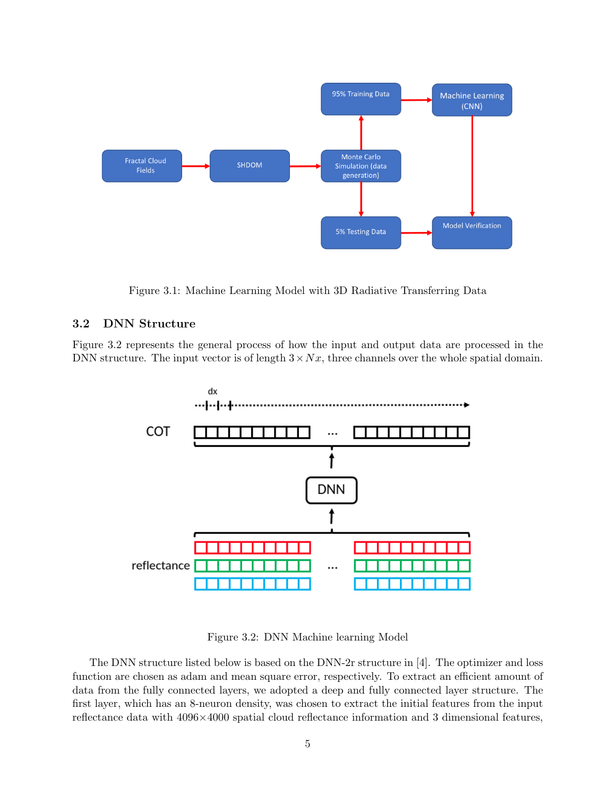

<span id="page-4-0"></span>Figure 3.1: Machine Learning Model with 3D Radiative Transferring Data

# 3.2 DNN Structure

Figure [3.2](#page-4-1) represents the general process of how the input and output data are processed in the DNN structure. The input vector is of length  $3 \times Nx$ , three channels over the whole spatial domain.



<span id="page-4-1"></span>Figure 3.2: DNN Machine learning Model

The DNN structure listed below is based on the DNN-2r structure in [\[4\]](#page-10-2). The optimizer and loss function are chosen as adam and mean square error, respectively. To extract an efficient amount of data from the fully connected layers, we adopted a deep and fully connected layer structure. The first layer, which has an 8-neuron density, was chosen to extract the initial features from the input reflectance data with 4096×4000 spatial cloud reflectance information and 3 dimensional features,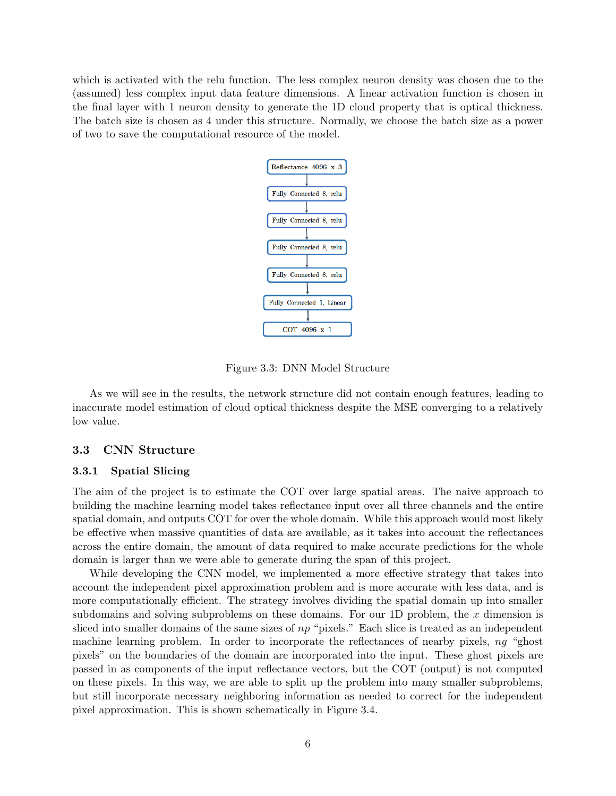which is activated with the relu function. The less complex neuron density was chosen due to the (assumed) less complex input data feature dimensions. A linear activation function is chosen in the final layer with 1 neuron density to generate the 1D cloud property that is optical thickness. The batch size is chosen as 4 under this structure. Normally, we choose the batch size as a power of two to save the computational resource of the model.



Figure 3.3: DNN Model Structure

As we will see in the results, the network structure did not contain enough features, leading to inaccurate model estimation of cloud optical thickness despite the MSE converging to a relatively low value.

### 3.3 CNN Structure

#### 3.3.1 Spatial Slicing

The aim of the project is to estimate the COT over large spatial areas. The naive approach to building the machine learning model takes reflectance input over all three channels and the entire spatial domain, and outputs COT for over the whole domain. While this approach would most likely be effective when massive quantities of data are available, as it takes into account the reflectances across the entire domain, the amount of data required to make accurate predictions for the whole domain is larger than we were able to generate during the span of this project.

While developing the CNN model, we implemented a more effective strategy that takes into account the independent pixel approximation problem and is more accurate with less data, and is more computationally efficient. The strategy involves dividing the spatial domain up into smaller subdomains and solving subproblems on these domains. For our 1D problem, the  $x$  dimension is sliced into smaller domains of the same sizes of  $np$  "pixels." Each slice is treated as an independent machine learning problem. In order to incorporate the reflectances of nearby pixels, ng "ghost pixels" on the boundaries of the domain are incorporated into the input. These ghost pixels are passed in as components of the input reflectance vectors, but the COT (output) is not computed on these pixels. In this way, we are able to split up the problem into many smaller subproblems, but still incorporate necessary neighboring information as needed to correct for the independent pixel approximation. This is shown schematically in Figure [3.4.](#page-6-0)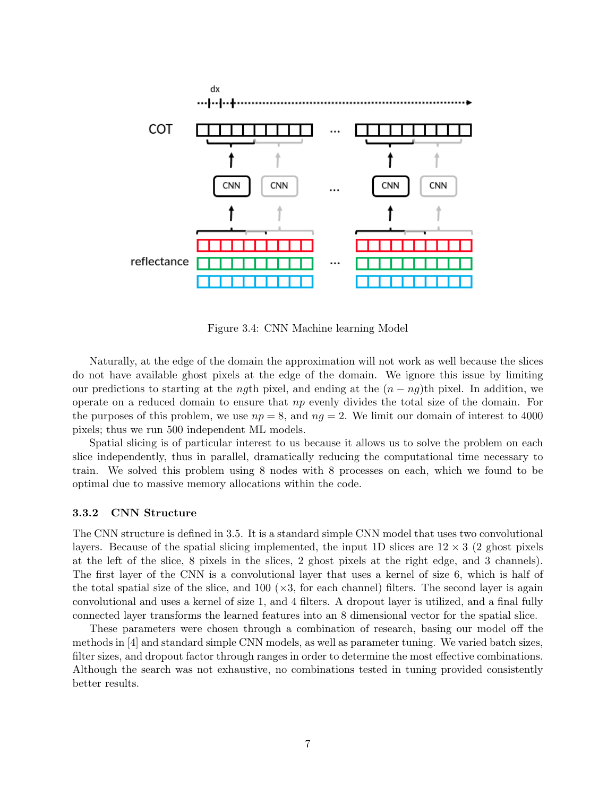

<span id="page-6-0"></span>Figure 3.4: CNN Machine learning Model

Naturally, at the edge of the domain the approximation will not work as well because the slices do not have available ghost pixels at the edge of the domain. We ignore this issue by limiting our predictions to starting at the *ng*th pixel, and ending at the  $(n - nq)$ th pixel. In addition, we operate on a reduced domain to ensure that  $np$  evenly divides the total size of the domain. For the purposes of this problem, we use  $np = 8$ , and  $nq = 2$ . We limit our domain of interest to 4000 pixels; thus we run 500 independent ML models.

Spatial slicing is of particular interest to us because it allows us to solve the problem on each slice independently, thus in parallel, dramatically reducing the computational time necessary to train. We solved this problem using 8 nodes with 8 processes on each, which we found to be optimal due to massive memory allocations within the code.

#### 3.3.2 CNN Structure

The CNN structure is defined in [3.5.](#page-7-0) It is a standard simple CNN model that uses two convolutional layers. Because of the spatial slicing implemented, the input 1D slices are  $12 \times 3$  (2 ghost pixels at the left of the slice, 8 pixels in the slices, 2 ghost pixels at the right edge, and 3 channels). The first layer of the CNN is a convolutional layer that uses a kernel of size 6, which is half of the total spatial size of the slice, and 100 ( $\times$ 3, for each channel) filters. The second layer is again convolutional and uses a kernel of size 1, and 4 filters. A dropout layer is utilized, and a final fully connected layer transforms the learned features into an 8 dimensional vector for the spatial slice.

These parameters were chosen through a combination of research, basing our model off the methods in [\[4\]](#page-10-2) and standard simple CNN models, as well as parameter tuning. We varied batch sizes, filter sizes, and dropout factor through ranges in order to determine the most effective combinations. Although the search was not exhaustive, no combinations tested in tuning provided consistently better results.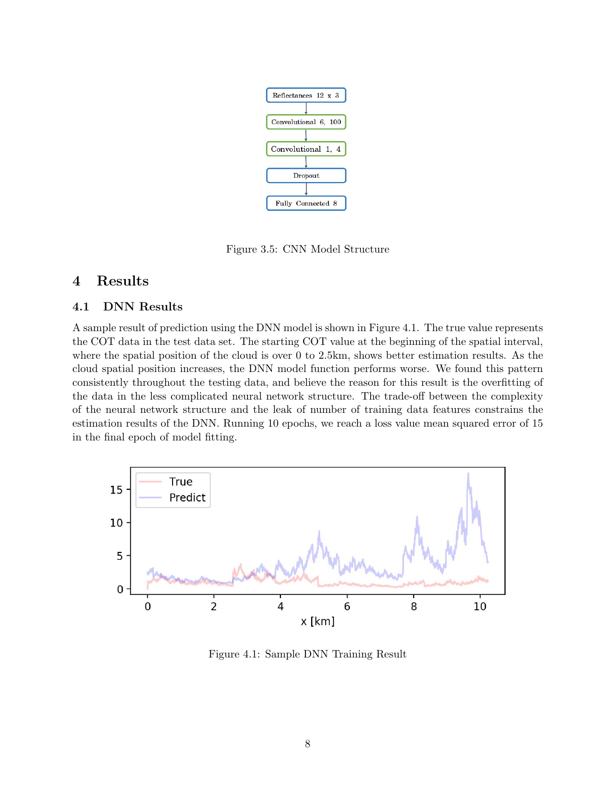

<span id="page-7-0"></span>Figure 3.5: CNN Model Structure

# 4 Results

### 4.1 DNN Results

A sample result of prediction using the DNN model is shown in Figure [4.1.](#page-7-1) The true value represents the COT data in the test data set. The starting COT value at the beginning of the spatial interval, where the spatial position of the cloud is over 0 to 2.5km, shows better estimation results. As the cloud spatial position increases, the DNN model function performs worse. We found this pattern consistently throughout the testing data, and believe the reason for this result is the overfitting of the data in the less complicated neural network structure. The trade-off between the complexity of the neural network structure and the leak of number of training data features constrains the estimation results of the DNN. Running 10 epochs, we reach a loss value mean squared error of 15 in the final epoch of model fitting.



<span id="page-7-1"></span>Figure 4.1: Sample DNN Training Result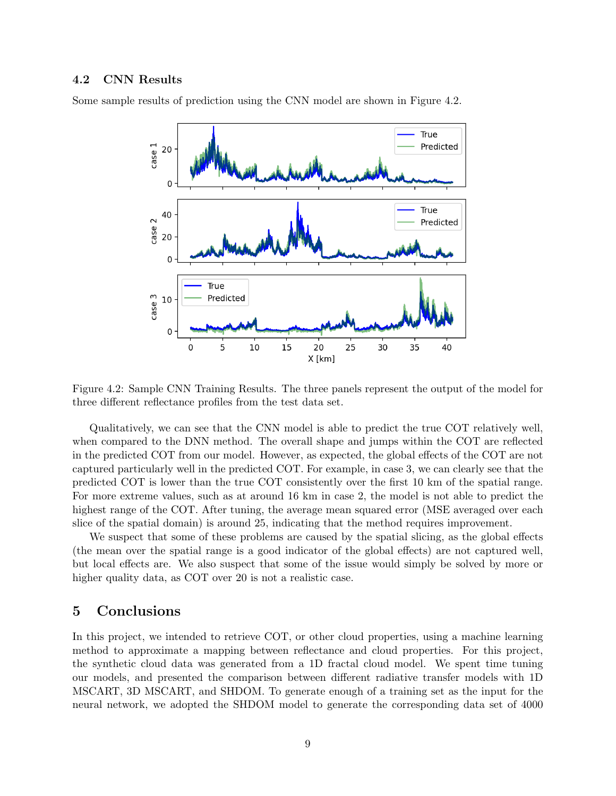### 4.2 CNN Results

Some sample results of prediction using the CNN model are shown in Figure [4.2.](#page-8-0)



<span id="page-8-0"></span>Figure 4.2: Sample CNN Training Results. The three panels represent the output of the model for three different reflectance profiles from the test data set.

Qualitatively, we can see that the CNN model is able to predict the true COT relatively well, when compared to the DNN method. The overall shape and jumps within the COT are reflected in the predicted COT from our model. However, as expected, the global effects of the COT are not captured particularly well in the predicted COT. For example, in case 3, we can clearly see that the predicted COT is lower than the true COT consistently over the first 10 km of the spatial range. For more extreme values, such as at around 16 km in case 2, the model is not able to predict the highest range of the COT. After tuning, the average mean squared error (MSE averaged over each slice of the spatial domain) is around 25, indicating that the method requires improvement.

We suspect that some of these problems are caused by the spatial slicing, as the global effects (the mean over the spatial range is a good indicator of the global effects) are not captured well, but local effects are. We also suspect that some of the issue would simply be solved by more or higher quality data, as COT over 20 is not a realistic case.

# 5 Conclusions

In this project, we intended to retrieve COT, or other cloud properties, using a machine learning method to approximate a mapping between reflectance and cloud properties. For this project, the synthetic cloud data was generated from a 1D fractal cloud model. We spent time tuning our models, and presented the comparison between different radiative transfer models with 1D MSCART, 3D MSCART, and SHDOM. To generate enough of a training set as the input for the neural network, we adopted the SHDOM model to generate the corresponding data set of 4000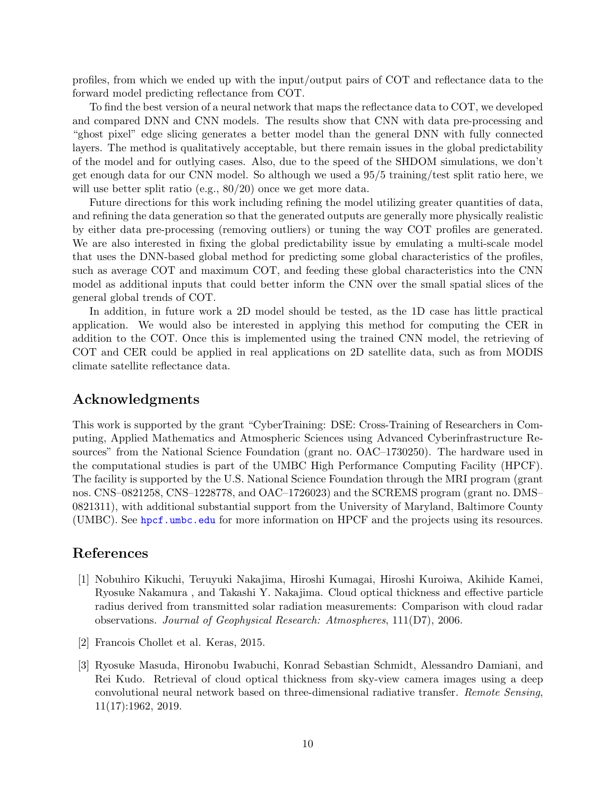profiles, from which we ended up with the input/output pairs of COT and reflectance data to the forward model predicting reflectance from COT.

To find the best version of a neural network that maps the reflectance data to COT, we developed and compared DNN and CNN models. The results show that CNN with data pre-processing and "ghost pixel" edge slicing generates a better model than the general DNN with fully connected layers. The method is qualitatively acceptable, but there remain issues in the global predictability of the model and for outlying cases. Also, due to the speed of the SHDOM simulations, we don't get enough data for our CNN model. So although we used a 95/5 training/test split ratio here, we will use better split ratio (e.g.,  $80/20$ ) once we get more data.

Future directions for this work including refining the model utilizing greater quantities of data, and refining the data generation so that the generated outputs are generally more physically realistic by either data pre-processing (removing outliers) or tuning the way COT profiles are generated. We are also interested in fixing the global predictability issue by emulating a multi-scale model that uses the DNN-based global method for predicting some global characteristics of the profiles, such as average COT and maximum COT, and feeding these global characteristics into the CNN model as additional inputs that could better inform the CNN over the small spatial slices of the general global trends of COT.

In addition, in future work a 2D model should be tested, as the 1D case has little practical application. We would also be interested in applying this method for computing the CER in addition to the COT. Once this is implemented using the trained CNN model, the retrieving of COT and CER could be applied in real applications on 2D satellite data, such as from MODIS climate satellite reflectance data.

# Acknowledgments

This work is supported by the grant "CyberTraining: DSE: Cross-Training of Researchers in Computing, Applied Mathematics and Atmospheric Sciences using Advanced Cyberinfrastructure Resources" from the National Science Foundation (grant no. OAC–1730250). The hardware used in the computational studies is part of the UMBC High Performance Computing Facility (HPCF). The facility is supported by the U.S. National Science Foundation through the MRI program (grant nos. CNS–0821258, CNS–1228778, and OAC–1726023) and the SCREMS program (grant no. DMS– 0821311), with additional substantial support from the University of Maryland, Baltimore County (UMBC). See <hpcf.umbc.edu> for more information on HPCF and the projects using its resources.

# References

- <span id="page-9-0"></span>[1] Nobuhiro Kikuchi, Teruyuki Nakajima, Hiroshi Kumagai, Hiroshi Kuroiwa, Akihide Kamei, Ryosuke Nakamura , and Takashi Y. Nakajima. Cloud optical thickness and effective particle radius derived from transmitted solar radiation measurements: Comparison with cloud radar observations. Journal of Geophysical Research: Atmospheres, 111(D7), 2006.
- <span id="page-9-2"></span>[2] Francois Chollet et al. Keras, 2015.
- <span id="page-9-1"></span>[3] Ryosuke Masuda, Hironobu Iwabuchi, Konrad Sebastian Schmidt, Alessandro Damiani, and Rei Kudo. Retrieval of cloud optical thickness from sky-view camera images using a deep convolutional neural network based on three-dimensional radiative transfer. Remote Sensing, 11(17):1962, 2019.